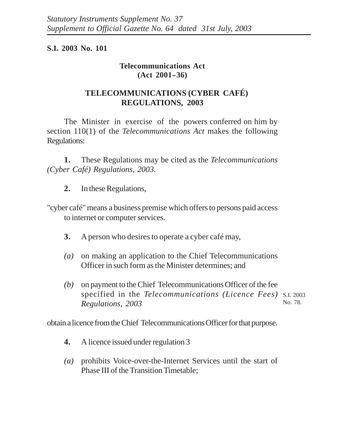## **S.I. 2003 No. 101**

## **Telecommunications Act**  $(Act 2001 - 36)$

## **TELECOMMUNICATIONS (CYBER CAFÉ) REGULATIONS, 2003**

The Minister in exercise of the powers conferred on him by section 110(1) of the *Telecommunications Act* makes the following Regulations:

**1.** These Regulations may be cited as the *Telecommunications (Cyber Café) Regulations, 2003.*

- **2.** In these Regulations,
- "cyber café" means a business premise which offers to persons paid access to internet or computer services.
	- **3.** A person who desires to operate a cyber café may,
	- *(a)* on making an application to the Chief Telecommunications Officer in such form as the Minister determines; and
	- *(b)* on payment to the Chief Telecommunications Officer of the fee specified in the *Telecommunications (Licence Fees)* S.I. 2003 *Regulations, 2003* No. 78.

obtain a licence from the Chief Telecommunications Officer for that purpose.

- **4.** A licence issued under regulation 3
- *(a)* prohibits Voice-over-the-Internet Services until the start of Phase III of the Transition Timetable;